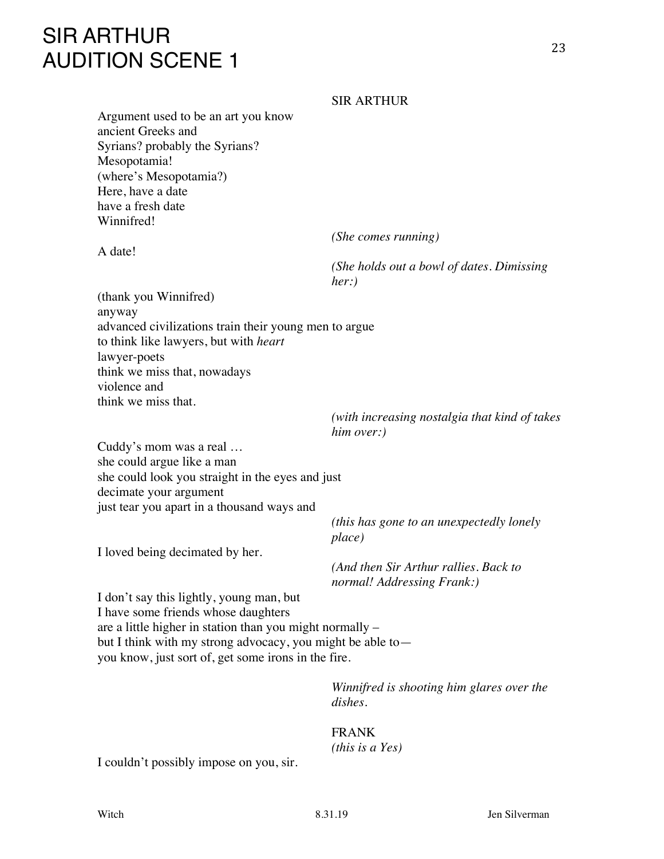# SIR ARTHUR AUDITION SCENE 1

#### SIR ARTHUR

Argument used to be an art you know ancient Greeks and Syrians? probably the Syrians? Mesopotamia! (where's Mesopotamia?) Here, have a date have a fresh date Winnifred!

A date!

*(She comes running)*

*(She holds out a bowl of dates. Dimissing her:)*

(thank you Winnifred) anyway advanced civilizations train their young men to argue to think like lawyers, but with *heart* lawyer-poets think we miss that, nowadays violence and think we miss that.

> *(with increasing nostalgia that kind of takes him over:)*

Cuddy's mom was a real … she could argue like a man she could look you straight in the eyes and just decimate your argument just tear you apart in a thousand ways and

> *(this has gone to an unexpectedly lonely place)*

I loved being decimated by her.

*(And then Sir Arthur rallies. Back to normal! Addressing Frank:)*

I don't say this lightly, young man, but I have some friends whose daughters are a little higher in station than you might normally – but I think with my strong advocacy, you might be able to you know, just sort of, get some irons in the fire.

> *Winnifred is shooting him glares over the dishes.*

## FRANK *(this is a Yes)*

I couldn't possibly impose on you, sir.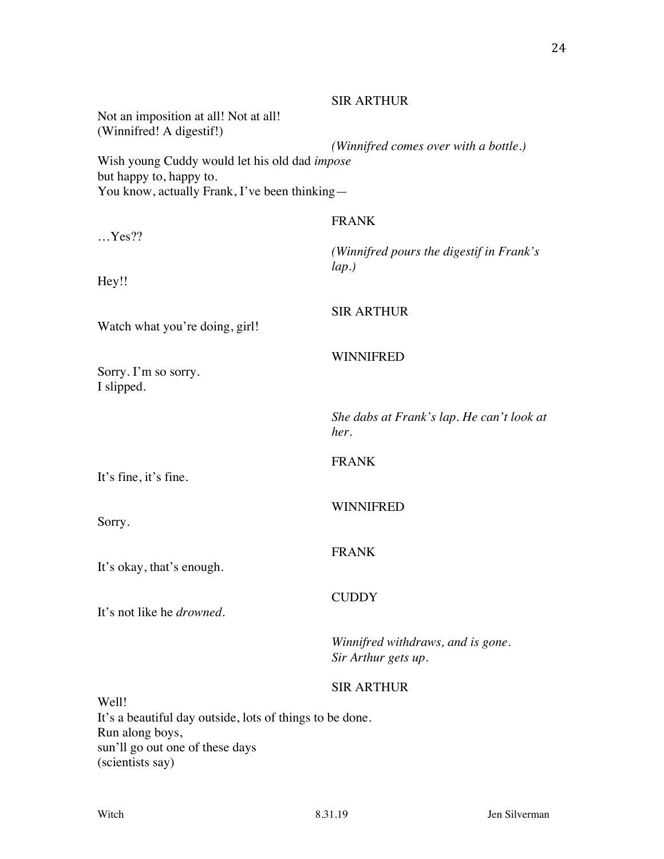|                                                                                                                           | <b>SIR ARTHUR</b>                                        |
|---------------------------------------------------------------------------------------------------------------------------|----------------------------------------------------------|
| Not an imposition at all! Not at all!<br>(Winnifred! A digestif!)                                                         |                                                          |
| Wish young Cuddy would let his old dad impose<br>but happy to, happy to.<br>You know, actually Frank, I've been thinking— | (Winnifred comes over with a bottle.)                    |
|                                                                                                                           | <b>FRANK</b>                                             |
| $$ Yes??                                                                                                                  |                                                          |
|                                                                                                                           | (Winnifred pours the digestif in Frank's                 |
| Hey!!                                                                                                                     | lap.)                                                    |
|                                                                                                                           | <b>SIR ARTHUR</b>                                        |
| Watch what you're doing, girl!                                                                                            |                                                          |
|                                                                                                                           | <b>WINNIFRED</b>                                         |
| Sorry. I'm so sorry.<br>I slipped.                                                                                        |                                                          |
|                                                                                                                           | She dabs at Frank's lap. He can't look at<br>her.        |
|                                                                                                                           | <b>FRANK</b>                                             |
| It's fine, it's fine.                                                                                                     |                                                          |
|                                                                                                                           | <b>WINNIFRED</b>                                         |
| Sorry.                                                                                                                    |                                                          |
|                                                                                                                           | <b>FRANK</b>                                             |
| It's okay, that's enough.                                                                                                 |                                                          |
|                                                                                                                           | <b>CUDDY</b>                                             |
| It's not like he <i>drowned</i> .                                                                                         |                                                          |
|                                                                                                                           | Winnifred withdraws, and is gone.<br>Sir Arthur gets up. |
|                                                                                                                           | <b>SIR ARTHUR</b>                                        |
| Well!                                                                                                                     |                                                          |
| It's a beautiful day outside, lots of things to be done.<br>Run along boys,                                               |                                                          |
| sun'll go out one of these days                                                                                           |                                                          |
| (scientists say)                                                                                                          |                                                          |

24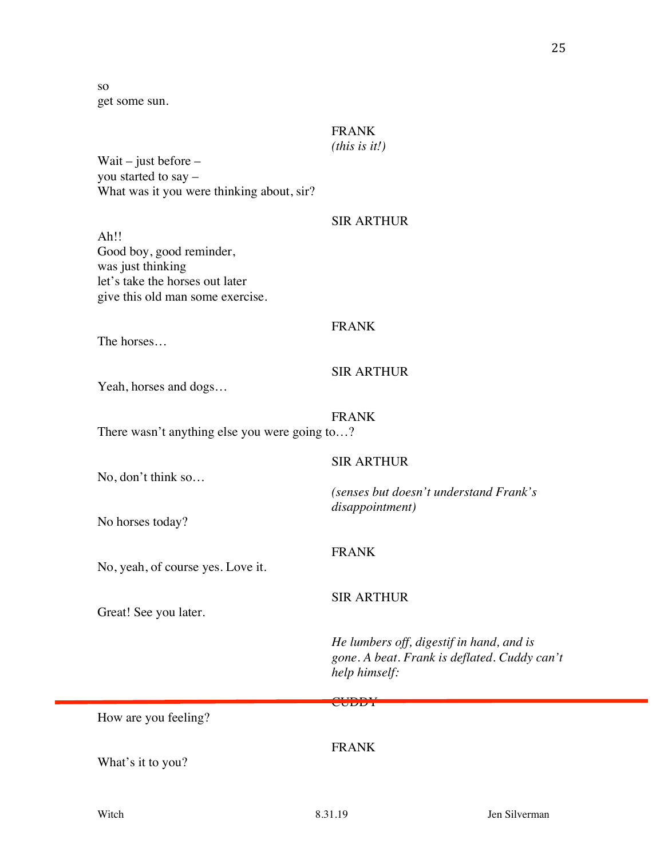25

so get some sun.

## FRANK

## *(this is it!)*

Wait – just before – you started to say – What was it you were thinking about, sir?

## SIR ARTHUR

Ah!! Good boy, good reminder, was just thinking let's take the horses out later give this old man some exercise.

#### FRANK

The horses…

## SIR ARTHUR

SIR ARTHUR

Yeah, horses and dogs…

## FRANK

There wasn't anything else you were going to...?

No, don't think so…

*(senses but doesn't understand Frank's disappointment)*

No horses today?

FRANK

No, yeah, of course yes. Love it.

## SIR ARTHUR

Great! See you later.

*He lumbers off, digestif in hand, and is gone. A beat. Frank is deflated. Cuddy can't help himself:*

#### CUDDY<sub>1</sub>

How are you feeling?

What's it to you?

## FRANK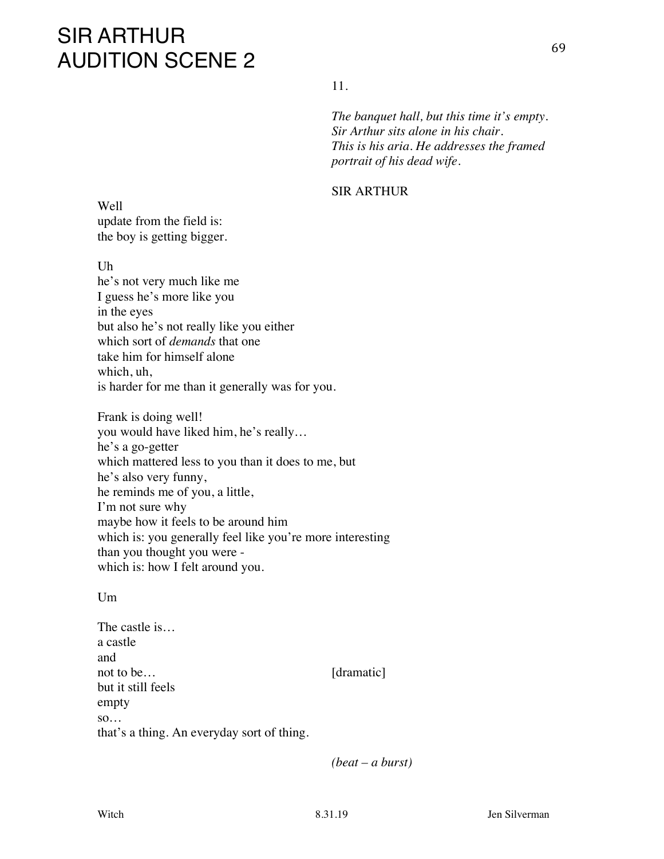# SIR ARTHUR AUDITION SCENE 2

11.

*The banquet hall, but this time it's empty. Sir Arthur sits alone in his chair. This is his aria. He addresses the framed portrait of his dead wife.*

#### SIR ARTHUR

Well update from the field is: the boy is getting bigger.

Uh

he's not very much like me I guess he's more like you in the eyes but also he's not really like you either which sort of *demands* that one take him for himself alone which, uh, is harder for me than it generally was for you.

Frank is doing well! you would have liked him, he's really… he's a go-getter which mattered less to you than it does to me, but he's also very funny, he reminds me of you, a little, I'm not sure why maybe how it feels to be around him which is: you generally feel like you're more interesting than you thought you were which is: how I felt around you.

#### $Um$

The castle is… a castle and not to be… [dramatic] but it still feels empty so… that's a thing. An everyday sort of thing.

*(beat – a burst)*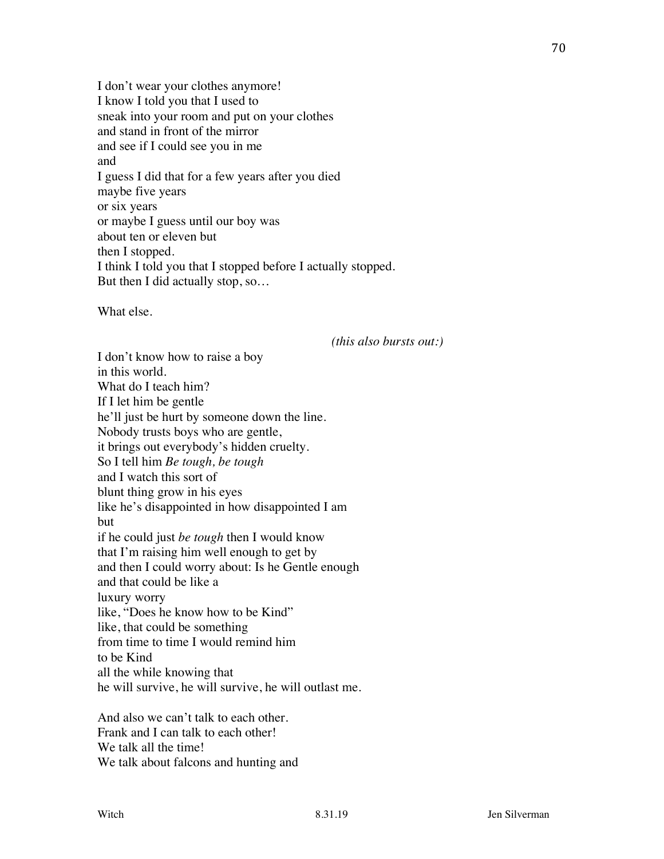I don't wear your clothes anymore! I know I told you that I used to sneak into your room and put on your clothes and stand in front of the mirror and see if I could see you in me and I guess I did that for a few years after you died maybe five years or six years or maybe I guess until our boy was about ten or eleven but then I stopped. I think I told you that I stopped before I actually stopped. But then I did actually stop, so…

What else.

*(this also bursts out:)*

I don't know how to raise a boy in this world. What do I teach him? If I let him be gentle he'll just be hurt by someone down the line. Nobody trusts boys who are gentle, it brings out everybody's hidden cruelty. So I tell him *Be tough, be tough* and I watch this sort of blunt thing grow in his eyes like he's disappointed in how disappointed I am but if he could just *be tough* then I would know that I'm raising him well enough to get by and then I could worry about: Is he Gentle enough and that could be like a luxury worry like, "Does he know how to be Kind" like, that could be something from time to time I would remind him to be Kind all the while knowing that he will survive, he will survive, he will outlast me.

And also we can't talk to each other. Frank and I can talk to each other! We talk all the time! We talk about falcons and hunting and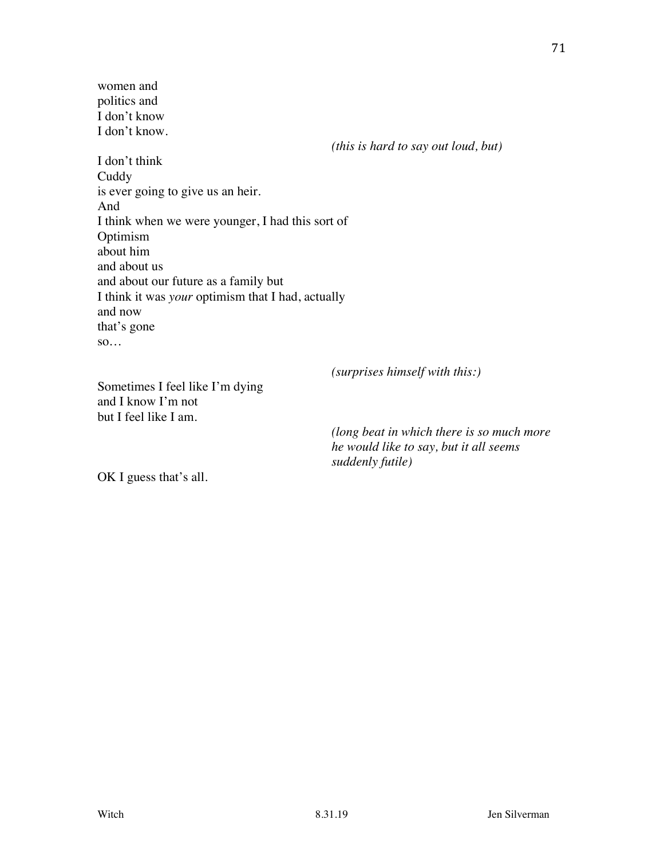women and politics and I don't know I don't know.

*(this is hard to say out loud, but)*

I don't think **Cuddy** is ever going to give us an heir. And I think when we were younger, I had this sort of Optimism about him and about us and about our future as a family but I think it was *your* optimism that I had, actually and now that's gone so…

*(surprises himself with this:)*

Sometimes I feel like I'm dying and I know I'm not but I feel like I am.

> *(long beat in which there is so much more he would like to say, but it all seems suddenly futile)*

OK I guess that's all.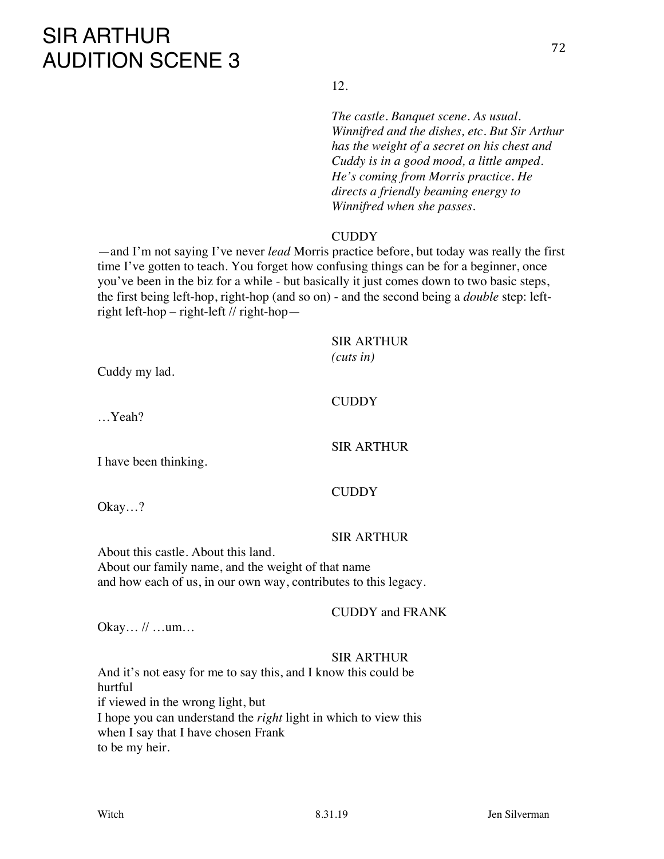# SIR ARTHUR AUDITION SCENE 3

12.

*The castle. Banquet scene. As usual. Winnifred and the dishes, etc. But Sir Arthur has the weight of a secret on his chest and Cuddy is in a good mood, a little amped. He's coming from Morris practice. He directs a friendly beaming energy to Winnifred when she passes.*

#### **CUDDY**

—and I'm not saying I've never *lead* Morris practice before, but today was really the first time I've gotten to teach. You forget how confusing things can be for a beginner, once you've been in the biz for a while - but basically it just comes down to two basic steps, the first being left-hop, right-hop (and so on) - and the second being a *double* step: leftright left-hop – right-left // right-hop—

## SIR ARTHUR

*(cuts in)*

Cuddy my lad.

#### **CUDDY**

**CUDDY** 

…Yeah?

I have been thinking.

Okay…?

#### SIR ARTHUR

SIR ARTHUR

About this castle. About this land. About our family name, and the weight of that name and how each of us, in our own way, contributes to this legacy.

CUDDY and FRANK

Okay… // …um…

#### SIR ARTHUR

And it's not easy for me to say this, and I know this could be hurtful if viewed in the wrong light, but I hope you can understand the *right* light in which to view this when I say that I have chosen Frank to be my heir.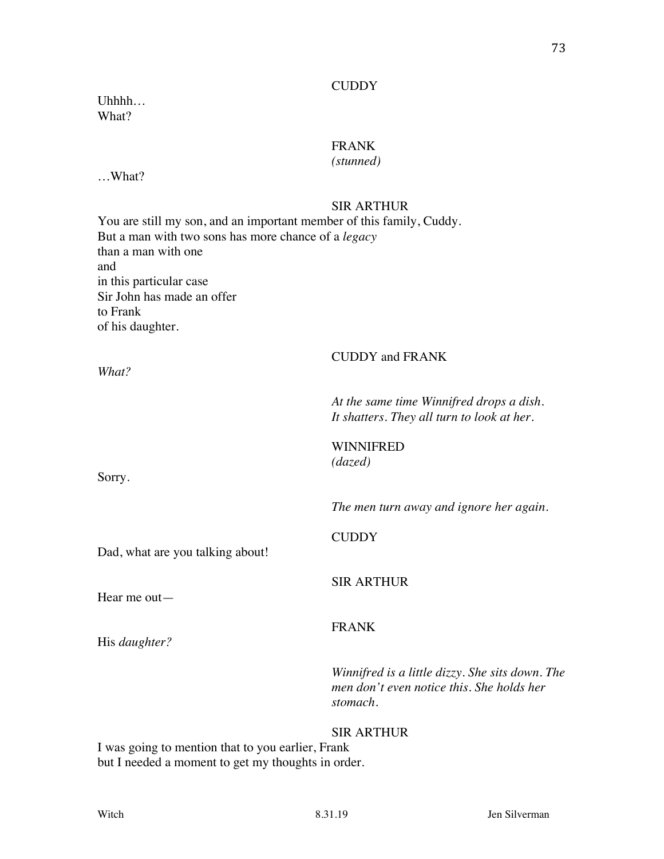#### **CUDDY**

Uhhhh… What?

## FRANK

## *(stunned)*

…What?

## SIR ARTHUR

You are still my son, and an important member of this family, Cuddy. But a man with two sons has more chance of a *legacy* than a man with one and in this particular case Sir John has made an offer to Frank of his daughter.

CUDDY and FRANK *What? At the same time Winnifred drops a dish. It shatters. They all turn to look at her.* WINNIFRED *(dazed)* Sorry. *The men turn away and ignore her again.* **CUDDY** Dad, what are you talking about! SIR ARTHUR Hear me out— FRANK His *daughter? Winnifred is a little dizzy. She sits down. The men don't even notice this. She holds her stomach.* SIR ARTHUR

I was going to mention that to you earlier, Frank but I needed a moment to get my thoughts in order.